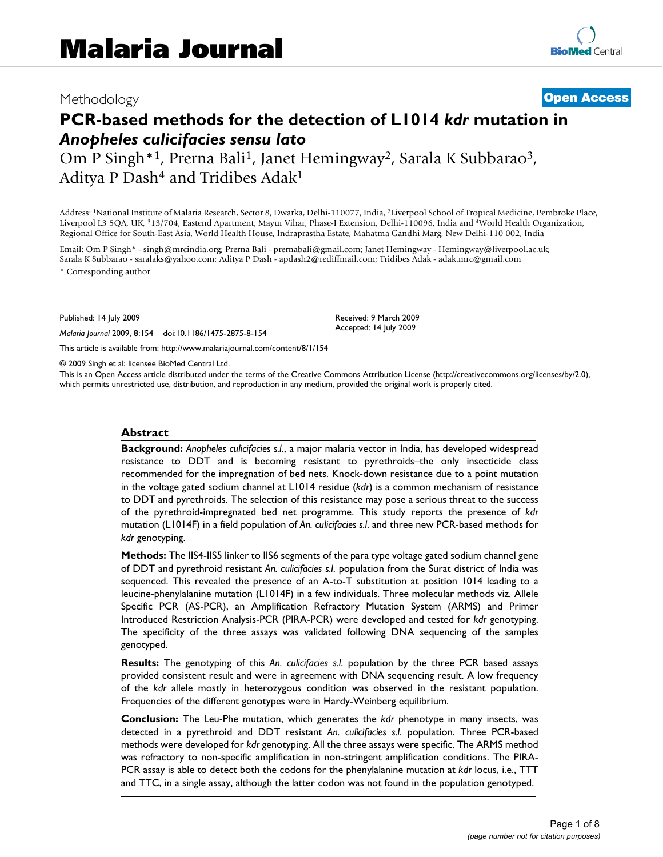# Methodology **[Open Access](http://www.biomedcentral.com/info/about/charter/)**

# **PCR-based methods for the detection of L1014** *kdr* **mutation in**  *Anopheles culicifacies sensu lato*

Om P Singh<sup>\*1</sup>, Prerna Bali<sup>1</sup>, Janet Hemingway<sup>2</sup>, Sarala K Subbarao<sup>3</sup>, Aditya P Dash<sup>4</sup> and Tridibes Adak<sup>1</sup>

Address: 1National Institute of Malaria Research, Sector 8, Dwarka, Delhi-110077, India, 2Liverpool School of Tropical Medicine, Pembroke Place, Liverpool L3 5QA, UK, 313/704, Eastend Apartment, Mayur Vihar, Phase-I Extension, Delhi-110096, India and 4World Health Organization, Regional Office for South-East Asia, World Health House, Indraprastha Estate, Mahatma Gandhi Marg, New Delhi-110 002, India

Email: Om P Singh\* - singh@mrcindia.org; Prerna Bali - prernabali@gmail.com; Janet Hemingway - Hemingway@liverpool.ac.uk; Sarala K Subbarao - saralaks@yahoo.com; Aditya P Dash - apdash2@rediffmail.com; Tridibes Adak - adak.mrc@gmail.com \* Corresponding author

Published: 14 July 2009

*Malaria Journal* 2009, **8**:154 doi:10.1186/1475-2875-8-154

[This article is available from: http://www.malariajournal.com/content/8/1/154](http://www.malariajournal.com/content/8/1/154)

© 2009 Singh et al; licensee BioMed Central Ltd.

This is an Open Access article distributed under the terms of the Creative Commons Attribution License [\(http://creativecommons.org/licenses/by/2.0\)](http://creativecommons.org/licenses/by/2.0), which permits unrestricted use, distribution, and reproduction in any medium, provided the original work is properly cited.

Received: 9 March 2009 Accepted: 14 July 2009

#### **Abstract**

**Background:** *Anopheles culicifacies s.l*., a major malaria vector in India, has developed widespread resistance to DDT and is becoming resistant to pyrethroids–the only insecticide class recommended for the impregnation of bed nets. Knock-down resistance due to a point mutation in the voltage gated sodium channel at L1014 residue (*kdr*) is a common mechanism of resistance to DDT and pyrethroids. The selection of this resistance may pose a serious threat to the success of the pyrethroid-impregnated bed net programme. This study reports the presence of *kdr* mutation (L1014F) in a field population of *An. culicifacies s.l*. and three new PCR-based methods for *kdr* genotyping.

**Methods:** The IIS4-IIS5 linker to IIS6 segments of the para type voltage gated sodium channel gene of DDT and pyrethroid resistant *An. culicifacies s.l*. population from the Surat district of India was sequenced. This revealed the presence of an A-to-T substitution at position 1014 leading to a leucine-phenylalanine mutation (L1014F) in a few individuals. Three molecular methods viz. Allele Specific PCR (AS-PCR), an Amplification Refractory Mutation System (ARMS) and Primer Introduced Restriction Analysis-PCR (PIRA-PCR) were developed and tested for *kdr* genotyping. The specificity of the three assays was validated following DNA sequencing of the samples genotyped.

**Results:** The genotyping of this *An. culicifacies s.l*. population by the three PCR based assays provided consistent result and were in agreement with DNA sequencing result. A low frequency of the *kdr* allele mostly in heterozygous condition was observed in the resistant population. Frequencies of the different genotypes were in Hardy-Weinberg equilibrium.

**Conclusion:** The Leu-Phe mutation, which generates the *kdr* phenotype in many insects, was detected in a pyrethroid and DDT resistant *An. culicifacies s.l*. population. Three PCR-based methods were developed for *kdr* genotyping. All the three assays were specific. The ARMS method was refractory to non-specific amplification in non-stringent amplification conditions. The PIRA-PCR assay is able to detect both the codons for the phenylalanine mutation at *kdr* locus, i.e., TTT and TTC, in a single assay, although the latter codon was not found in the population genotyped.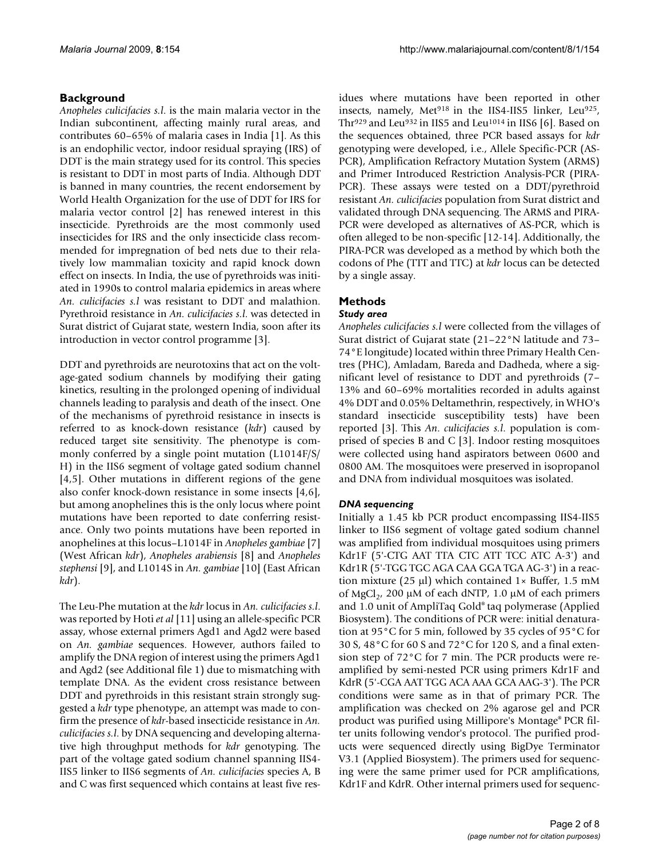# **Background**

*Anopheles culicifacies s.l*. is the main malaria vector in the Indian subcontinent, affecting mainly rural areas, and contributes 60–65% of malaria cases in India [1]. As this is an endophilic vector, indoor residual spraying (IRS) of DDT is the main strategy used for its control. This species is resistant to DDT in most parts of India. Although DDT is banned in many countries, the recent endorsement by World Health Organization for the use of DDT for IRS for malaria vector control [2] has renewed interest in this insecticide. Pyrethroids are the most commonly used insecticides for IRS and the only insecticide class recommended for impregnation of bed nets due to their relatively low mammalian toxicity and rapid knock down effect on insects. In India, the use of pyrethroids was initiated in 1990s to control malaria epidemics in areas where *An. culicifacies s.l* was resistant to DDT and malathion. Pyrethroid resistance in *An. culicifacies s.l*. was detected in Surat district of Gujarat state, western India, soon after its introduction in vector control programme [3].

DDT and pyrethroids are neurotoxins that act on the voltage-gated sodium channels by modifying their gating kinetics, resulting in the prolonged opening of individual channels leading to paralysis and death of the insect. One of the mechanisms of pyrethroid resistance in insects is referred to as knock-down resistance (*kdr*) caused by reduced target site sensitivity. The phenotype is commonly conferred by a single point mutation (L1014F/S/ H) in the IIS6 segment of voltage gated sodium channel [4,5]. Other mutations in different regions of the gene also confer knock-down resistance in some insects [4,6], but among anophelines this is the only locus where point mutations have been reported to date conferring resistance. Only two points mutations have been reported in anophelines at this locus–L1014F in *Anopheles gambiae* [7] (West African *kdr*), *Anopheles arabiensis* [[8](#page-6-0)] and *Anopheles stephensi* [9], and L1014S in *An. gambiae* [10] (East African *kdr*).

The Leu-Phe mutation at the *kdr* locus in *An. culicifacies s.l*. was reported by Hoti *et al* [11] using an allele-specific PCR assay, whose external primers Agd1 and Agd2 were based on *An. gambiae* sequences. However, authors failed to amplify the DNA region of interest using the primers Agd1 and Agd2 (see Additional file 1) due to mismatching with template DNA. As the evident cross resistance between DDT and pyrethroids in this resistant strain strongly suggested a *kdr* type phenotype, an attempt was made to confirm the presence of *kdr*-based insecticide resistance in *An. culicifacies s.l*. by DNA sequencing and developing alternative high throughput methods for *kdr* genotyping. The part of the voltage gated sodium channel spanning IIS4- IIS5 linker to IIS6 segments of *An. culicifacies* species A, B and C was first sequenced which contains at least five residues where mutations have been reported in other insects, namely, Met<sup>918</sup> in the IIS4-IIS5 linker, Leu<sup>925</sup>, Thr<sup>929</sup> and Leu<sup>932</sup> in IIS5 and Leu<sup>1014</sup> in IIS6 [6]. Based on the sequences obtained, three PCR based assays for *kdr* genotyping were developed, i.e., Allele Specific-PCR (AS-PCR), Amplification Refractory Mutation System (ARMS) and Primer Introduced Restriction Analysis-PCR (PIRA-PCR). These assays were tested on a DDT/pyrethroid resistant *An. culicifacies* population from Surat district and validated through DNA sequencing. The ARMS and PIRA-PCR were developed as alternatives of AS-PCR, which is often alleged to be non-specific [12-14]. Additionally, the PIRA-PCR was developed as a method by which both the codons of Phe (TTT and TTC) at *kdr* locus can be detected by a single assay.

# **Methods**

## *Study area*

*Anopheles culicifacies s.l* were collected from the villages of Surat district of Gujarat state (21–22°N latitude and 73– 74°E longitude) located within three Primary Health Centres (PHC), Amladam, Bareda and Dadheda, where a significant level of resistance to DDT and pyrethroids (7– 13% and 60–69% mortalities recorded in adults against 4% DDT and 0.05% Deltamethrin, respectively, in WHO's standard insecticide susceptibility tests) have been reported [3]. This *An*. *culicifacies s.l*. population is comprised of species B and C [3]. Indoor resting mosquitoes were collected using hand aspirators between 0600 and 0800 AM. The mosquitoes were preserved in isopropanol and DNA from individual mosquitoes was isolated.

# *DNA sequencing*

Initially a 1.45 kb PCR product encompassing IIS4-IIS5 linker to IIS6 segment of voltage gated sodium channel was amplified from individual mosquitoes using primers Kdr1F (5'-CTG AAT TTA CTC ATT TCC ATC A-3') and Kdr1R (5'-TGG TGC AGA CAA GGA TGA AG-3') in a reaction mixture (25 μl) which contained 1× Buffer, 1.5 mM of MgCl<sub>2</sub>, 200 μM of each dNTP, 1.0 μM of each primers and 1.0 unit of AmpliTaq Gold® taq polymerase (Applied Biosystem). The conditions of PCR were: initial denaturation at 95°C for 5 min, followed by 35 cycles of 95°C for 30 S, 48°C for 60 S and 72°C for 120 S, and a final extension step of 72°C for 7 min. The PCR products were reamplified by semi-nested PCR using primers Kdr1F and KdrR (5'-CGA AAT TGG ACA AAA GCA AAG-3'). The PCR conditions were same as in that of primary PCR. The amplification was checked on 2% agarose gel and PCR product was purified using Millipore's Montage® PCR filter units following vendor's protocol. The purified products were sequenced directly using BigDye Terminator V3.1 (Applied Biosystem). The primers used for sequencing were the same primer used for PCR amplifications, Kdr1F and KdrR. Other internal primers used for sequenc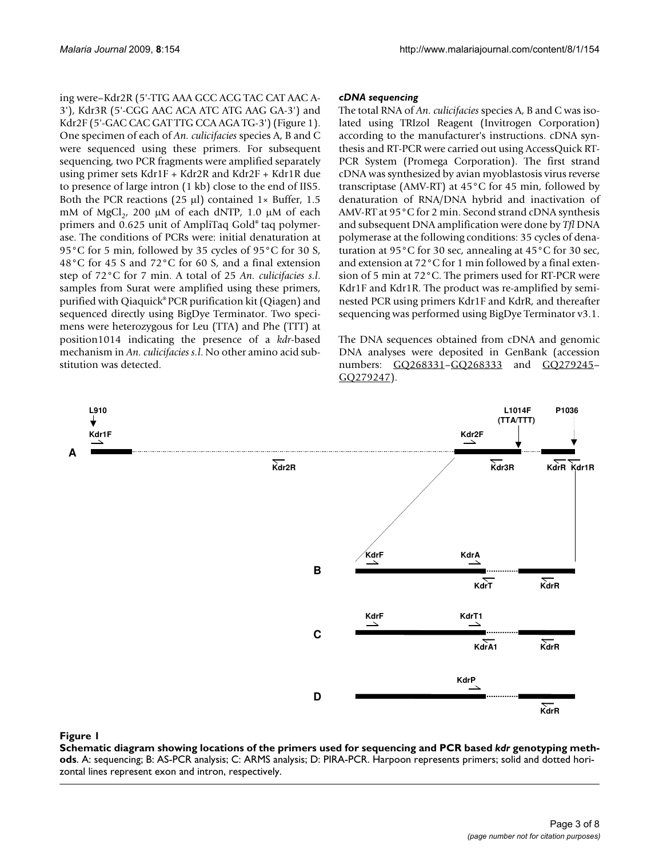ing were–Kdr2R (5'-TTG AAA GCC ACG TAC CAT AAC A-3'), Kdr3R (5'-CGG AAC ACA ATC ATG AAG GA-3') and Kdr2F (5'-GAC CAC GAT TTG CCA AGA TG-3') (Figure 1). One specimen of each of *An. culicifacies* species A, B and C were sequenced using these primers. For subsequent sequencing, two PCR fragments were amplified separately using primer sets Kdr1F + Kdr2R and Kdr2F + Kdr1R due to presence of large intron (1 kb) close to the end of IIS5. Both the PCR reactions (25  $\mu$ l) contained 1× Buffer, 1.5 mM of MgCl<sub>2</sub>, 200 μM of each dNTP, 1.0 μM of each primers and 0.625 unit of AmpliTaq Gold® taq polymerase. The conditions of PCRs were: initial denaturation at 95°C for 5 min, followed by 35 cycles of 95°C for 30 S, 48°C for 45 S and 72°C for 60 S, and a final extension step of 72°C for 7 min. A total of 25 *An. culicifacies s.l*. samples from Surat were amplified using these primers, purified with Qiaquick® PCR purification kit (Qiagen) and sequenced directly using BigDye Terminator. Two specimens were heterozygous for Leu (TTA) and Phe (TTT) at position1014 indicating the presence of a *kdr*-based mechanism in *An. culicifacies s.l*. No other amino acid substitution was detected.

#### *cDNA sequencing*

The total RNA of *An. culicifacies* species A, B and C was isolated using TRIzol Reagent (Invitrogen Corporation) according to the manufacturer's instructions. cDNA synthesis and RT-PCR were carried out using AccessQuick RT-PCR System (Promega Corporation). The first strand cDNA was synthesized by avian myoblastosis virus reverse transcriptase (AMV-RT) at 45°C for 45 min, followed by denaturation of RNA/DNA hybrid and inactivation of AMV-RT at 95°C for 2 min. Second strand cDNA synthesis and subsequent DNA amplification were done by *Tfl* DNA polymerase at the following conditions: 35 cycles of denaturation at 95°C for 30 sec, annealing at 45°C for 30 sec, and extension at 72°C for 1 min followed by a final extension of 5 min at 72°C. The primers used for RT-PCR were Kdr1F and Kdr1R. The product was re-amplified by seminested PCR using primers Kdr1F and KdrR, and thereafter sequencing was performed using BigDye Terminator v3.1.

The DNA sequences obtained from cDNA and genomic DNA analyses were deposited in GenBank (accession numbers: GO268331-GO268333 and GO279245-[GQ279247\)](http://www.ncbi.nih.gov/entrez/query.fcgi?db=Nucleotide&cmd=search&term=GQ279247).



#### **Figure 1** Schematic diagram showing locations of the primers used for sequencing and PCR based *kdr* genotyping methods

**Schematic diagram showing locations of the primers used for sequencing and PCR based** *kdr* **genotyping methods**. A: sequencing; B: AS-PCR analysis; C: ARMS analysis; D: PIRA-PCR. Harpoon represents primers; solid and dotted horizontal lines represent exon and intron, respectively.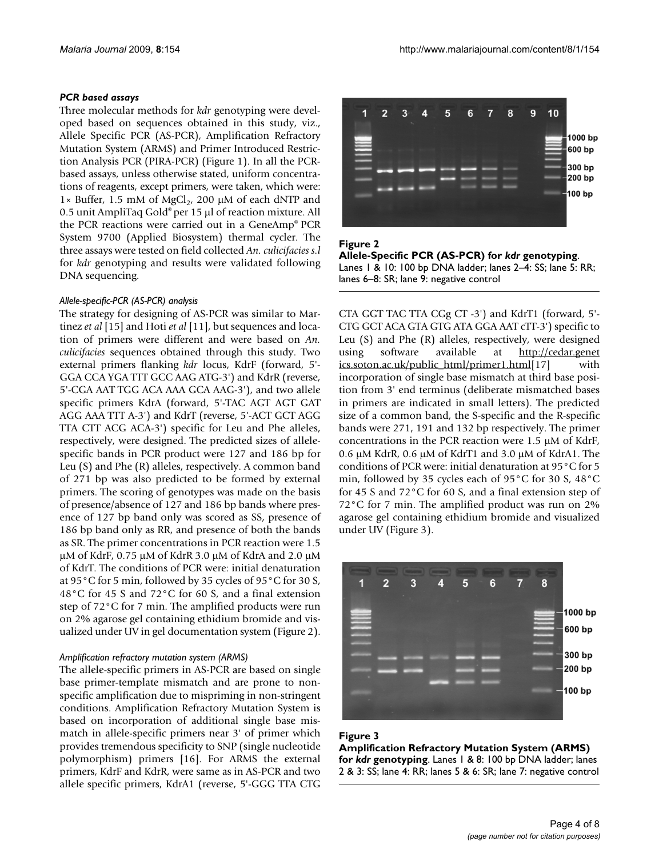#### *PCR based assays*

Three molecular methods for *kdr* genotyping were developed based on sequences obtained in this study, viz., Allele Specific PCR (AS-PCR), Amplification Refractory Mutation System (ARMS) and Primer Introduced Restriction Analysis PCR (PIRA-PCR) (Figure 1). In all the PCRbased assays, unless otherwise stated, uniform concentrations of reagents, except primers, were taken, which were: 1× Buffer, 1.5 mM of MgCl<sub>2</sub>, 200 μM of each dNTP and 0.5 unit AmpliTaq Gold® per 15 μl of reaction mixture. All the PCR reactions were carried out in a GeneAmp® PCR System 9700 (Applied Biosystem) thermal cycler. The three assays were tested on field collected *An. culicifacies s.l* for *kdr* genotyping and results were validated following DNA sequencing.

#### *Allele-specific-PCR (AS-PCR) analysis*

The strategy for designing of AS-PCR was similar to Martinez *et al* [15] and Hoti *et al* [11], but sequences and location of primers were different and were based on *An. culicifacies* sequences obtained through this study. Two external primers flanking *kdr* locus, KdrF (forward, 5'- GGA CCA YGA TTT GCC AAG ATG-3') and KdrR (reverse, 5'-CGA AAT TGG ACA AAA GCA AAG-3'), and two allele specific primers KdrA (forward, 5'-TAC AGT AGT GAT AGG AAA TTT A-3') and KdrT (reverse, 5'-ACT GCT AGG TTA CTT ACG ACA-3') specific for Leu and Phe alleles, respectively, were designed. The predicted sizes of allelespecific bands in PCR product were 127 and 186 bp for Leu (S) and Phe (R) alleles, respectively. A common band of 271 bp was also predicted to be formed by external primers. The scoring of genotypes was made on the basis of presence/absence of 127 and 186 bp bands where presence of 127 bp band only was scored as SS, presence of 186 bp band only as RR, and presence of both the bands as SR. The primer concentrations in PCR reaction were 1.5 μM of KdrF, 0.75 μM of KdrR 3.0 μM of KdrA and 2.0 μM of KdrT. The conditions of PCR were: initial denaturation at 95°C for 5 min, followed by 35 cycles of 95°C for 30 S, 48°C for 45 S and 72°C for 60 S, and a final extension step of 72°C for 7 min. The amplified products were run on 2% agarose gel containing ethidium bromide and visualized under UV in gel documentation system (Figure 2).

#### *Amplification refractory mutation system (ARMS)*

The allele-specific primers in AS-PCR are based on single base primer-template mismatch and are prone to nonspecific amplification due to mispriming in non-stringent conditions. Amplification Refractory Mutation System is based on incorporation of additional single base mismatch in allele-specific primers near 3' of primer which provides tremendous specificity to SNP (single nucleotide polymorphism) primers [16]. For ARMS the external primers, KdrF and KdrR, were same as in AS-PCR and two allele specific primers, KdrA1 (reverse, 5'-GGG TTA CTG



#### Figure 2 **Allele-Specific PCR (AS-PCR) for** *kdr* **genotyping**. Lanes 1 & 10: 100 bp DNA ladder; lanes 2–4: SS; lane 5: RR; lanes 6–8: SR; lane 9: negative control

CTA GGT TAC TTA CGg CT -3') and KdrT1 (forward, 5'- CTG GCT ACA GTA GTG ATA GGA AAT cTT-3') specific to Leu (S) and Phe (R) alleles, respectively, were designed using software available at [http://cedar.genet](http://cedar.genetics.soton.ac.uk/public_html/primer1.html) [ics.soton.ac.uk/public\\_html/primer1.html\[](http://cedar.genetics.soton.ac.uk/public_html/primer1.html)17] with incorporation of single base mismatch at third base position from 3' end terminus (deliberate mismatched bases in primers are indicated in small letters). The predicted size of a common band, the S-specific and the R-specific bands were 271, 191 and 132 bp respectively. The primer concentrations in the PCR reaction were 1.5 μM of KdrF, 0.6 μM KdrR, 0.6 μM of KdrT1 and 3.0 μM of KdrA1. The conditions of PCR were: initial denaturation at 95°C for 5 min, followed by 35 cycles each of 95°C for 30 S, 48°C for 45 S and 72°C for 60 S, and a final extension step of 72°C for 7 min. The amplified product was run on 2% agarose gel containing ethidium bromide and visualized under UV (Figure 3).



#### Figure 3

**Amplification Refractory Mutation System (ARMS) for** *kdr* **genotyping**. Lanes 1 & 8: 100 bp DNA ladder; lanes 2 & 3: SS; lane 4: RR; lanes 5 & 6: SR; lane 7: negative control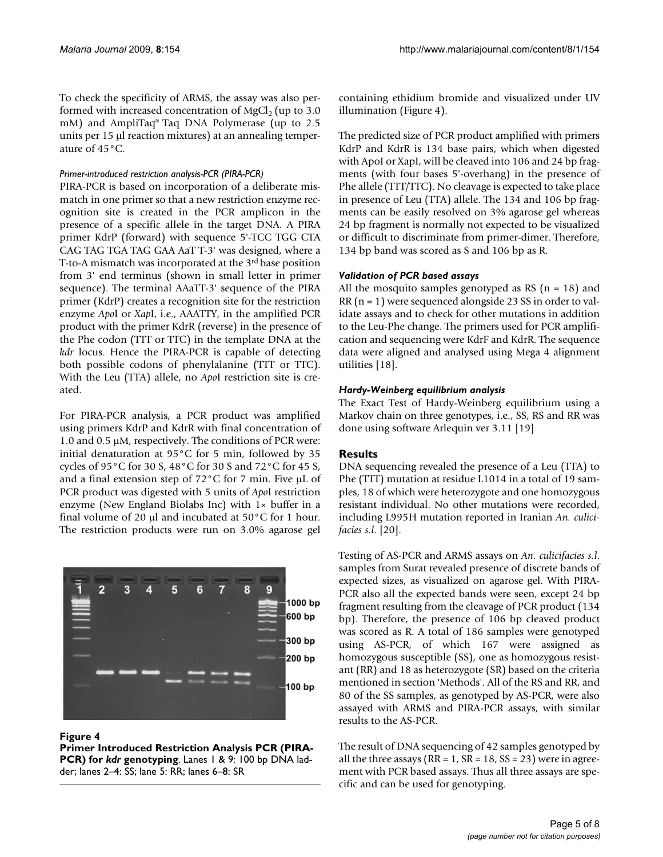To check the specificity of ARMS, the assay was also performed with increased concentration of  $MgCl<sub>2</sub>$  (up to 3.0) mM) and AmpliTaq® Taq DNA Polymerase (up to 2.5 units per 15 μl reaction mixtures) at an annealing temperature of 45°C.

#### *Primer-introduced restriction analysis-PCR (PIRA-PCR)*

PIRA-PCR is based on incorporation of a deliberate mismatch in one primer so that a new restriction enzyme recognition site is created in the PCR amplicon in the presence of a specific allele in the target DNA. A PIRA primer KdrP (forward) with sequence 5'-TCC TGG CTA CAG TAG TGA TAG GAA AaT T-3' was designed, where a T-to-A mismatch was incorporated at the 3rd base position from 3' end terminus (shown in small letter in primer sequence). The terminal AAaTT-3' sequence of the PIRA primer (KdrP) creates a recognition site for the restriction enzyme *Apo*I or *Xap*I, i.e., AAATTY, in the amplified PCR product with the primer KdrR (reverse) in the presence of the Phe codon (TTT or TTC) in the template DNA at the *kdr* locus. Hence the PIRA-PCR is capable of detecting both possible codons of phenylalanine (TTT or TTC). With the Leu (TTA) allele, no *Apo*I restriction site is created.

For PIRA-PCR analysis, a PCR product was amplified using primers KdrP and KdrR with final concentration of 1.0 and 0.5 μM, respectively. The conditions of PCR were: initial denaturation at 95°C for 5 min, followed by 35 cycles of 95°C for 30 S, 48°C for 30 S and 72°C for 45 S, and a final extension step of 72°C for 7 min. Five μL of PCR product was digested with 5 units of *Apo*I restriction enzyme (New England Biolabs Inc) with 1× buffer in a final volume of 20 μl and incubated at 50°C for 1 hour. The restriction products were run on 3.0% agarose gel



#### **Figure 4**

**Primer Introduced Restriction Analysis PCR (PIRA-PCR) for** *kdr* **genotyping**. Lanes 1 & 9: 100 bp DNA ladder; lanes 2–4: SS; lane 5: RR; lanes 6–8: SR

containing ethidium bromide and visualized under UV illumination (Figure 4).

The predicted size of PCR product amplified with primers KdrP and KdrR is 134 base pairs, which when digested with ApoI or XapI, will be cleaved into 106 and 24 bp fragments (with four bases 5'-overhang) in the presence of Phe allele (TTT/TTC). No cleavage is expected to take place in presence of Leu (TTA) allele. The 134 and 106 bp fragments can be easily resolved on 3% agarose gel whereas 24 bp fragment is normally not expected to be visualized or difficult to discriminate from primer-dimer. Therefore, 134 bp band was scored as S and 106 bp as R.

#### *Validation of PCR based assays*

All the mosquito samples genotyped as RS  $(n = 18)$  and RR (n = 1) were sequenced alongside 23 SS in order to validate assays and to check for other mutations in addition to the Leu-Phe change. The primers used for PCR amplification and sequencing were KdrF and KdrR. The sequence data were aligned and analysed using Mega 4 alignment utilities [18].

#### *Hardy-Weinberg equilibrium analysis*

The Exact Test of Hardy-Weinberg equilibrium using a Markov chain on three genotypes, i.e., SS, RS and RR was done using software Arlequin ver 3.11 [19]

# **Results**

DNA sequencing revealed the presence of a Leu (TTA) to Phe (TTT) mutation at residue L1014 in a total of 19 samples, 18 of which were heterozygote and one homozygous resistant individual. No other mutations were recorded, including L995H mutation reported in Iranian *An. culicifacies s.l*. [\[20\]](#page-6-1).

Testing of AS-PCR and ARMS assays on *An. culicifacies s.l*. samples from Surat revealed presence of discrete bands of expected sizes, as visualized on agarose gel. With PIRA-PCR also all the expected bands were seen, except 24 bp fragment resulting from the cleavage of PCR product (134 bp). Therefore, the presence of 106 bp cleaved product was scored as R. A total of 186 samples were genotyped using AS-PCR, of which 167 were assigned as homozygous susceptible (SS), one as homozygous resistant (RR) and 18 as heterozygote (SR) based on the criteria mentioned in section 'Methods'. All of the RS and RR, and 80 of the SS samples, as genotyped by AS-PCR, were also assayed with ARMS and PIRA-PCR assays, with similar results to the AS-PCR.

The result of DNA sequencing of 42 samples genotyped by all the three assays ( $RR = 1$ ,  $SR = 18$ ,  $SS = 23$ ) were in agreement with PCR based assays. Thus all three assays are specific and can be used for genotyping.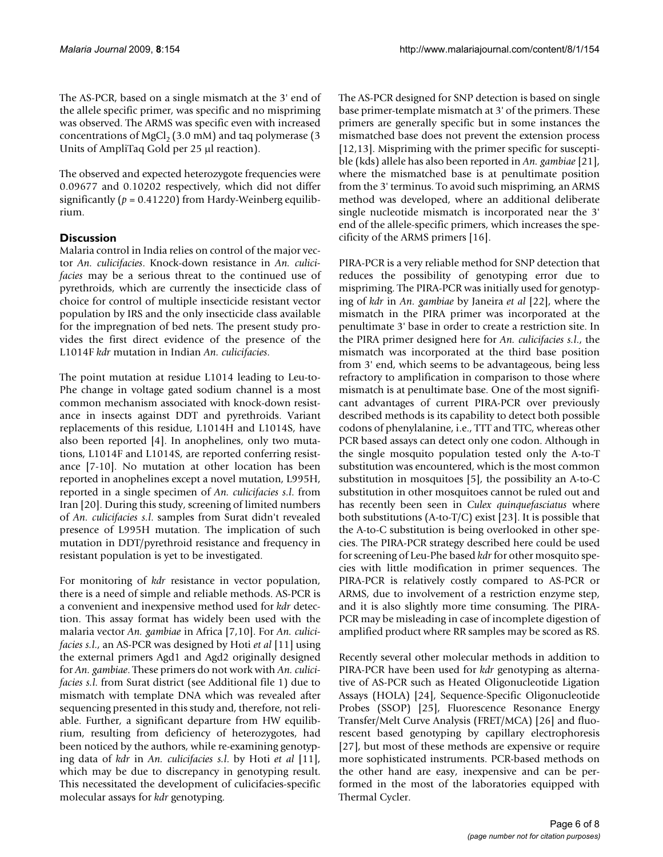The AS-PCR, based on a single mismatch at the 3' end of the allele specific primer, was specific and no mispriming was observed. The ARMS was specific even with increased concentrations of MgCl<sub>2</sub> (3.0 mM) and taq polymerase (3 Units of AmpliTaq Gold per 25 μl reaction).

The observed and expected heterozygote frequencies were 0.09677 and 0.10202 respectively, which did not differ significantly  $(p = 0.41220)$  from Hardy-Weinberg equilibrium.

# **Discussion**

Malaria control in India relies on control of the major vector *An. culicifacies*. Knock-down resistance in *An. culicifacies* may be a serious threat to the continued use of pyrethroids, which are currently the insecticide class of choice for control of multiple insecticide resistant vector population by IRS and the only insecticide class available for the impregnation of bed nets. The present study provides the first direct evidence of the presence of the L1014F *kdr* mutation in Indian *An. culicifacies*.

The point mutation at residue L1014 leading to Leu-to-Phe change in voltage gated sodium channel is a most common mechanism associated with knock-down resistance in insects against DDT and pyrethroids. Variant replacements of this residue, L1014H and L1014S, have also been reported [4]. In anophelines, only two mutations, L1014F and L1014S, are reported conferring resistance [7-10]. No mutation at other location has been reported in anophelines except a novel mutation, L995H, reported in a single specimen of *An. culicifacies s.l*. from Iran [[20\]](#page-6-1). During this study, screening of limited numbers of *An. culicifacies s.l*. samples from Surat didn't revealed presence of L995H mutation. The implication of such mutation in DDT/pyrethroid resistance and frequency in resistant population is yet to be investigated.

For monitoring of *kdr* resistance in vector population, there is a need of simple and reliable methods. AS-PCR is a convenient and inexpensive method used for *kdr* detection. This assay format has widely been used with the malaria vector *An. gambiae* in Africa [7,10]. For *An. culicifacies s.l*., an AS-PCR was designed by Hoti *et al* [11] using the external primers Agd1 and Agd2 originally designed for *An. gambiae*. These primers do not work with *An. culicifacies s.l*. from Surat district (see Additional file 1) due to mismatch with template DNA which was revealed after sequencing presented in this study and, therefore, not reliable. Further, a significant departure from HW equilibrium, resulting from deficiency of heterozygotes, had been noticed by the authors, while re-examining genotyping data of *kdr* in *An. culicifacies s.l*. by Hoti *et al* [11], which may be due to discrepancy in genotyping result. This necessitated the development of culicifacies-specific molecular assays for *kdr* genotyping.

The AS-PCR designed for SNP detection is based on single base primer-template mismatch at 3' of the primers. These primers are generally specific but in some instances the mismatched base does not prevent the extension process [12,13]. Mispriming with the primer specific for susceptible (kds) allele has also been reported in *An. gambiae* [21], where the mismatched base is at penultimate position from the 3' terminus. To avoid such mispriming, an ARMS method was developed, where an additional deliberate single nucleotide mismatch is incorporated near the 3' end of the allele-specific primers, which increases the specificity of the ARMS primers [16].

PIRA-PCR is a very reliable method for SNP detection that reduces the possibility of genotyping error due to mispriming. The PIRA-PCR was initially used for genotyping of *kdr* in *An. gambiae* by Janeira *et al* [22], where the mismatch in the PIRA primer was incorporated at the penultimate 3' base in order to create a restriction site. In the PIRA primer designed here for *An. culicifacies s.l*., the mismatch was incorporated at the third base position from 3' end, which seems to be advantageous, being less refractory to amplification in comparison to those where mismatch is at penultimate base. One of the most significant advantages of current PIRA-PCR over previously described methods is its capability to detect both possible codons of phenylalanine, i.e., TTT and TTC, whereas other PCR based assays can detect only one codon. Although in the single mosquito population tested only the A-to-T substitution was encountered, which is the most common substitution in mosquitoes [5], the possibility an A-to-C substitution in other mosquitoes cannot be ruled out and has recently been seen in *Culex quinquefasciatus* where both substitutions (A-to-T/C) exist [[23](#page-7-0)]. It is possible that the A-to-C substitution is being overlooked in other species. The PIRA-PCR strategy described here could be used for screening of Leu-Phe based *kdr* for other mosquito species with little modification in primer sequences. The PIRA-PCR is relatively costly compared to AS-PCR or ARMS, due to involvement of a restriction enzyme step, and it is also slightly more time consuming. The PIRA-PCR may be misleading in case of incomplete digestion of amplified product where RR samples may be scored as RS.

Recently several other molecular methods in addition to PIRA-PCR have been used for *kdr* genotyping as alternative of AS-PCR such as Heated Oligonucleotide Ligation Assays (HOLA) [24], Sequence-Specific Oligonucleotide Probes (SSOP) [25], Fluorescence Resonance Energy Transfer/Melt Curve Analysis (FRET/MCA) [26] and fluorescent based genotyping by capillary electrophoresis [27], but most of these methods are expensive or require more sophisticated instruments. PCR-based methods on the other hand are easy, inexpensive and can be performed in the most of the laboratories equipped with Thermal Cycler.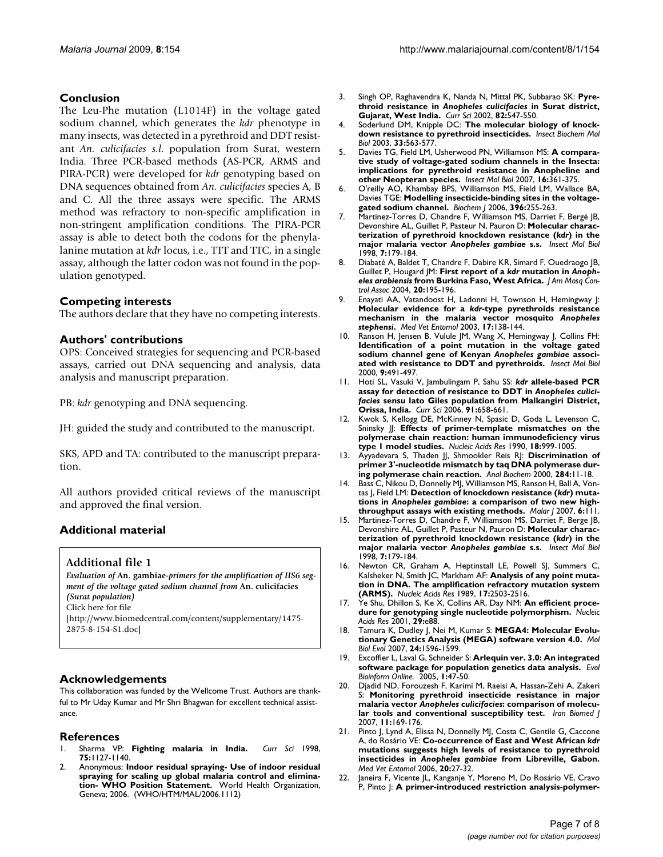## **Conclusion**

The Leu-Phe mutation (L1014F) in the voltage gated sodium channel, which generates the *kdr* phenotype in many insects, was detected in a pyrethroid and DDT resistant *An. culicifacies s.l*. population from Surat, western India. Three PCR-based methods (AS-PCR, ARMS and PIRA-PCR) were developed for *kdr* genotyping based on DNA sequences obtained from *An. culicifacies* species A, B and C. All the three assays were specific. The ARMS method was refractory to non-specific amplification in non-stringent amplification conditions. The PIRA-PCR assay is able to detect both the codons for the phenylalanine mutation at *kdr* locus, i.e., TTT and TTC, in a single assay, although the latter codon was not found in the population genotyped.

#### **Competing interests**

The authors declare that they have no competing interests.

## **Authors' contributions**

OPS: Conceived strategies for sequencing and PCR-based assays, carried out DNA sequencing and analysis, data analysis and manuscript preparation.

PB: *kdr* genotyping and DNA sequencing.

JH: guided the study and contributed to the manuscript.

SKS, APD and TA: contributed to the manuscript preparation.

All authors provided critical reviews of the manuscript and approved the final version.

# **Additional material**

#### **Additional file 1**

*Evaluation of* **An. gambiae***-primers for the amplification of IIS6 segment of the voltage gated sodium channel from* **An. culicifacies**  *(Surat population)* Click here for file [\[http://www.biomedcentral.com/content/supplementary/1475-](http://www.biomedcentral.com/content/supplementary/1475-2875-8-154-S1.doc) 2875-8-154-S1.doc]

#### **Acknowledgements**

This collaboration was funded by the Wellcome Trust. Authors are thankful to Mr Uday Kumar and Mr Shri Bhagwan for excellent technical assistance.

#### **References**

- 1. Sharma VP: **Fighting malaria in India.** *Curr Sci* 1998, **75:**1127-1140.
- 2. Anonymous: **Indoor residual spraying- Use of indoor residual spraying for scaling up global malaria control and elimination- WHO Position Statement.** World Health Organization, Geneva; 2006. (WHO/HTM/MAL/2006.1112)
- 3. Singh OP, Raghavendra K, Nanda N, Mittal PK, Subbarao SK: **Pyrethroid resistance in** *Anopheles culicifacies* **in Surat district, Gujarat, West India.** *Curr Sci* 2002, **82:**547-550.
- 4. Soderlund DM, Knipple DC: **[The molecular biology of knock](http://www.ncbi.nlm.nih.gov/entrez/query.fcgi?cmd=Retrieve&db=PubMed&dopt=Abstract&list_uids=12770575)[down resistance to pyrethroid insecticides.](http://www.ncbi.nlm.nih.gov/entrez/query.fcgi?cmd=Retrieve&db=PubMed&dopt=Abstract&list_uids=12770575)** *Insect Biochem Mol Biol* 2003, **33:**563-577.
- 5. Davies TG, Field LM, Usherwood PN, Williamson MS: **[A compara](http://www.ncbi.nlm.nih.gov/entrez/query.fcgi?cmd=Retrieve&db=PubMed&dopt=Abstract&list_uids=17433068)[tive study of voltage-gated sodium channels in the Insecta:](http://www.ncbi.nlm.nih.gov/entrez/query.fcgi?cmd=Retrieve&db=PubMed&dopt=Abstract&list_uids=17433068) implications for pyrethroid resistance in Anopheline and [other Neopteran species.](http://www.ncbi.nlm.nih.gov/entrez/query.fcgi?cmd=Retrieve&db=PubMed&dopt=Abstract&list_uids=17433068)** *Insect Mol Biol* 2007, **16:**361-375.
- 6. O'reilly AO, Khambay BPS, Williamson MS, Field LM, Wallace BA, Davies TGE: **[Modelling insecticide-binding sites in the voltage](http://www.ncbi.nlm.nih.gov/entrez/query.fcgi?cmd=Retrieve&db=PubMed&dopt=Abstract&list_uids=16475981)[gated sodium channel.](http://www.ncbi.nlm.nih.gov/entrez/query.fcgi?cmd=Retrieve&db=PubMed&dopt=Abstract&list_uids=16475981)** *Biochem J* 2006, **396:**255-263.
- 7. Martinez-Torres D, Chandre F, Williamson MS, Darriet F, Bergé JB, Devonshire AL, Guillet P, Pasteur N, Pauron D: **Molecular characterization of pyrethroid knockdown resistance (***kdr***) in the major malaria vector** *Anopheles gambiae* **[s.s.](http://www.ncbi.nlm.nih.gov/entrez/query.fcgi?cmd=Retrieve&db=PubMed&dopt=Abstract&list_uids=9535162)** *Insect Mol Biol* 1998, **7:**179-184.
- <span id="page-6-0"></span>8. Diabaté A, Baldet T, Chandre F, Dabire KR, Simard F, Ouedraogo JB, Guillet P, Hougard JM: **First report of a** *kdr* **mutation in** *Anopheles arabiensis* **[from Burkina Faso, West Africa.](http://www.ncbi.nlm.nih.gov/entrez/query.fcgi?cmd=Retrieve&db=PubMed&dopt=Abstract&list_uids=15264630)** *J Am Mosq Control Assoc* 2004, **20:**195-196.
- 9. Enayati AA, Vatandoost H, Ladonni H, Townson H, Hemingway J: **Molecular evidence for a** *kdr***-type pyrethroids resistance mechanism in the malaria vector mosquito** *Anopheles stephensi***[.](http://www.ncbi.nlm.nih.gov/entrez/query.fcgi?cmd=Retrieve&db=PubMed&dopt=Abstract&list_uids=12823830)** *Med Vet Entomol* 2003, **17:**138-144.
- 10. Ranson H, Jensen B, Vulule JM, Wang X, Hemingway J, Collins FH: **Identification of a point mutation in the voltage gated sodium channel gene of Kenyan** *Anopheles gambiae* **[associ](http://www.ncbi.nlm.nih.gov/entrez/query.fcgi?cmd=Retrieve&db=PubMed&dopt=Abstract&list_uids=11029667)[ated with resistance to DDT and pyrethroids.](http://www.ncbi.nlm.nih.gov/entrez/query.fcgi?cmd=Retrieve&db=PubMed&dopt=Abstract&list_uids=11029667)** *Insect Mol Biol* 2000, **9:**491-497.
- 11. Hoti SL, Vasuki V, Jambulingam P, Sahu SS: *kdr* **allele-based PCR assay for detection of resistance to DDT in** *Anopheles culicifacies* **sensu lato Giles population from Malkangiri District, Orissa, India.** *Curr Sci* 2006, **91:**658-661.
- 12. Kwok S, Kellogg DE, McKinney N, Spasic D, Goda L, Levenson C, Sninsky JJ: **[Effects of primer-template mismatches on the](http://www.ncbi.nlm.nih.gov/entrez/query.fcgi?cmd=Retrieve&db=PubMed&dopt=Abstract&list_uids=2179874) [polymerase chain reaction: human immunodeficiency virus](http://www.ncbi.nlm.nih.gov/entrez/query.fcgi?cmd=Retrieve&db=PubMed&dopt=Abstract&list_uids=2179874) [type 1 model studies.](http://www.ncbi.nlm.nih.gov/entrez/query.fcgi?cmd=Retrieve&db=PubMed&dopt=Abstract&list_uids=2179874)** *Nucleic Acids Res* 1990, **18:**999-1005.
- 13. Ayyadevara S, Thaden JJ, Shmookler Reis RJ: **[Discrimination of](http://www.ncbi.nlm.nih.gov/entrez/query.fcgi?cmd=Retrieve&db=PubMed&dopt=Abstract&list_uids=10933850) [primer 3'-nucleotide mismatch by taq DNA polymerase dur](http://www.ncbi.nlm.nih.gov/entrez/query.fcgi?cmd=Retrieve&db=PubMed&dopt=Abstract&list_uids=10933850)[ing polymerase chain reaction.](http://www.ncbi.nlm.nih.gov/entrez/query.fcgi?cmd=Retrieve&db=PubMed&dopt=Abstract&list_uids=10933850)** *Anal Biochem* 2000, **284:**11-18.
- 14. Bass C, Nikou D, Donnelly MJ, Williamson MS, Ranson H, Ball A, Vontas J, Field LM: **Detection of knockdown resistance (***kdr***) mutations in** *Anopheles gambiae***[: a comparison of two new high](http://www.ncbi.nlm.nih.gov/entrez/query.fcgi?cmd=Retrieve&db=PubMed&dopt=Abstract&list_uids=17697325)[throughput assays with existing methods.](http://www.ncbi.nlm.nih.gov/entrez/query.fcgi?cmd=Retrieve&db=PubMed&dopt=Abstract&list_uids=17697325)** *Malar J* 2007, **6:**111.
- 15. Martinez-Torres D, Chandre F, Williamson MS, Darriet F, Berge JB, Devonshire AL, Guillet P, Pasteur N, Pauron D: **Molecular characterization of pyrethroid knockdown resistance (***kdr***) in the major malaria vector** *Anopheles gambiae* **[s.s.](http://www.ncbi.nlm.nih.gov/entrez/query.fcgi?cmd=Retrieve&db=PubMed&dopt=Abstract&list_uids=9535162)** *Insect Mol Biol* 1998, **7:**179-184.
- 16. Newton CR, Graham A, Heptinstall LE, Powell SJ, Summers C, Kalsheker N, Smith JC, Markham AF: **[Analysis of any point muta](http://www.ncbi.nlm.nih.gov/entrez/query.fcgi?cmd=Retrieve&db=PubMed&dopt=Abstract&list_uids=2785681)[tion in DNA. The amplification refractory mutation system](http://www.ncbi.nlm.nih.gov/entrez/query.fcgi?cmd=Retrieve&db=PubMed&dopt=Abstract&list_uids=2785681) [\(ARMS\).](http://www.ncbi.nlm.nih.gov/entrez/query.fcgi?cmd=Retrieve&db=PubMed&dopt=Abstract&list_uids=2785681)** *Nucleic Acids Res* 1989, **17:**2503-2516.
- 17. Ye Shu, Dhillon S, Ke X, Collins AR, Day NM: [An efficient proce](http://www.ncbi.nlm.nih.gov/entrez/query.fcgi?cmd=Retrieve&db=PubMed&dopt=Abstract&list_uids=11522844)**[dure for genotyping single nucleotide polymorphism.](http://www.ncbi.nlm.nih.gov/entrez/query.fcgi?cmd=Retrieve&db=PubMed&dopt=Abstract&list_uids=11522844)** *Nucleic Acids Res* 2001, **29:**e88.
- 18. Tamura K, Dudley J, Nei M, Kumar S: **[MEGA4: Molecular Evolu](http://www.ncbi.nlm.nih.gov/entrez/query.fcgi?cmd=Retrieve&db=PubMed&dopt=Abstract&list_uids=17488738)[tionary Genetics Analysis \(MEGA\) software version 4.0.](http://www.ncbi.nlm.nih.gov/entrez/query.fcgi?cmd=Retrieve&db=PubMed&dopt=Abstract&list_uids=17488738)** *Mol Biol Evol* 2007, **24:**1596-1599.
- 19. Excoffier L, Laval G, Schneider S: **[Arlequin ver. 3.0: An integrated](http://www.ncbi.nlm.nih.gov/entrez/query.fcgi?cmd=Retrieve&db=PubMed&dopt=Abstract&list_uids=19325852) [software package for population genetics data analysis.](http://www.ncbi.nlm.nih.gov/entrez/query.fcgi?cmd=Retrieve&db=PubMed&dopt=Abstract&list_uids=19325852)** *Evol Bioinform Online.* 2005, **1:**47-50.
- <span id="page-6-1"></span>20. Djadid ND, Forouzesh F, Karimi M, Raeisi A, Hassan-Zehi A, Zakeri S: **Monitoring pyrethroid insecticide resistance in major malaria vector** *Anopheles culicifacies***[: comparison of molecu](http://www.ncbi.nlm.nih.gov/entrez/query.fcgi?cmd=Retrieve&db=PubMed&dopt=Abstract&list_uids=18051777)[lar tools and conventional susceptibility test.](http://www.ncbi.nlm.nih.gov/entrez/query.fcgi?cmd=Retrieve&db=PubMed&dopt=Abstract&list_uids=18051777)** *Iran Biomed J* 2007, **11:**169-176.
- 21. Pinto J, Lynd A, Elissa N, Donnelly MJ, Costa C, Gentile G, Caccone A, do Rosário VE: **Co-occurrence of East and West African** *kdr* **mutations suggests high levels of resistance to pyrethroid insecticides in** *Anopheles gambiae* **[from Libreville, Gabon.](http://www.ncbi.nlm.nih.gov/entrez/query.fcgi?cmd=Retrieve&db=PubMed&dopt=Abstract&list_uids=16608487)** *Med Vet Entomol* 2006, **20:**27-32.
- 22. Janeira F, Vicente JL, Kanganje Y, Moreno M, Do Rosário VE, Cravo P, Pinto J: **A primer-introduced restriction analysis-polymer-**